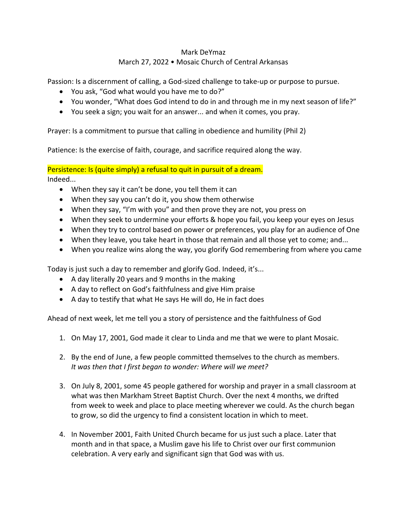## Mark DeYmaz March 27, 2022 • Mosaic Church of Central Arkansas

Passion: Is a discernment of calling, a God-sized challenge to take-up or purpose to pursue.

- You ask, "God what would you have me to do?"
- You wonder, "What does God intend to do in and through me in my next season of life?"
- You seek a sign; you wait for an answer... and when it comes, you pray.

Prayer: Is a commitment to pursue that calling in obedience and humility (Phil 2)

Patience: Is the exercise of faith, courage, and sacrifice required along the way.

Persistence: Is (quite simply) a refusal to quit in pursuit of a dream. Indeed...

- When they say it can't be done, you tell them it can
- When they say you can't do it, you show them otherwise
- When they say, "I'm with you" and then prove they are not, you press on
- When they seek to undermine your efforts & hope you fail, you keep your eyes on Jesus
- When they try to control based on power or preferences, you play for an audience of One
- When they leave, you take heart in those that remain and all those yet to come; and...
- When you realize wins along the way, you glorify God remembering from where you came

Today is just such a day to remember and glorify God. Indeed, it's...

- A day literally 20 years and 9 months in the making
- A day to reflect on God's faithfulness and give Him praise
- A day to testify that what He says He will do, He in fact does

Ahead of next week, let me tell you a story of persistence and the faithfulness of God

- 1. On May 17, 2001, God made it clear to Linda and me that we were to plant Mosaic.
- 2. By the end of June, a few people committed themselves to the church as members. *It was then that I first began to wonder: Where will we meet?*
- 3. On July 8, 2001, some 45 people gathered for worship and prayer in a small classroom at what was then Markham Street Baptist Church. Over the next 4 months, we drifted from week to week and place to place meeting wherever we could. As the church began to grow, so did the urgency to find a consistent location in which to meet.
- 4. In November 2001, Faith United Church became for us just such a place. Later that month and in that space, a Muslim gave his life to Christ over our first communion celebration. A very early and significant sign that God was with us.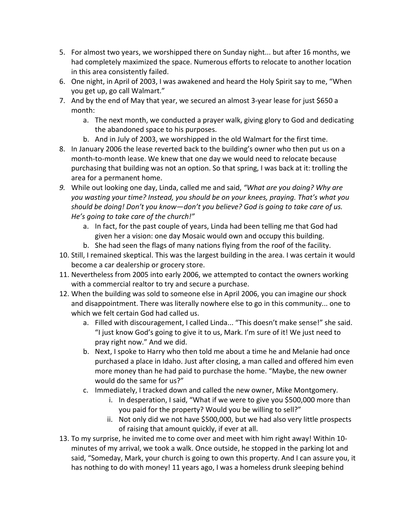- 5. For almost two years, we worshipped there on Sunday night... but after 16 months, we had completely maximized the space. Numerous efforts to relocate to another location in this area consistently failed.
- 6. One night, in April of 2003, I was awakened and heard the Holy Spirit say to me, "When you get up, go call Walmart."
- 7. And by the end of May that year, we secured an almost 3-year lease for just \$650 a month:
	- a. The next month, we conducted a prayer walk, giving glory to God and dedicating the abandoned space to his purposes.
	- b. And in July of 2003, we worshipped in the old Walmart for the first time.
- 8. In January 2006 the lease reverted back to the building's owner who then put us on a month-to-month lease. We knew that one day we would need to relocate because purchasing that building was not an option. So that spring, I was back at it: trolling the area for a permanent home.
- *9.* While out looking one day, Linda, called me and said, *"What are you doing? Why are you wasting your time? Instead, you should be on your knees, praying. That's what you should be doing! Don't you know—don't you believe? God is going to take care of us. He's going to take care of the church!"*
	- a. In fact, for the past couple of years, Linda had been telling me that God had given her a vision: one day Mosaic would own and occupy this building.
	- b. She had seen the flags of many nations flying from the roof of the facility.
- 10. Still, I remained skeptical. This was the largest building in the area. I was certain it would become a car dealership or grocery store.
- 11. Nevertheless from 2005 into early 2006, we attempted to contact the owners working with a commercial realtor to try and secure a purchase.
- 12. When the building was sold to someone else in April 2006, you can imagine our shock and disappointment. There was literally nowhere else to go in this community... one to which we felt certain God had called us.
	- a. Filled with discouragement, I called Linda... "This doesn't make sense!" she said. "I just know God's going to give it to us, Mark. I'm sure of it! We just need to pray right now." And we did.
	- b. Next, I spoke to Harry who then told me about a time he and Melanie had once purchased a place in Idaho. Just after closing, a man called and offered him even more money than he had paid to purchase the home. "Maybe, the new owner would do the same for us?"
	- c. Immediately, I tracked down and called the new owner, Mike Montgomery.
		- i. In desperation, I said, "What if we were to give you \$500,000 more than you paid for the property? Would you be willing to sell?"
		- ii. Not only did we not have \$500,000, but we had also very little prospects of raising that amount quickly, if ever at all.
- 13. To my surprise, he invited me to come over and meet with him right away! Within 10 minutes of my arrival, we took a walk. Once outside, he stopped in the parking lot and said, "Someday, Mark, your church is going to own this property. And I can assure you, it has nothing to do with money! 11 years ago, I was a homeless drunk sleeping behind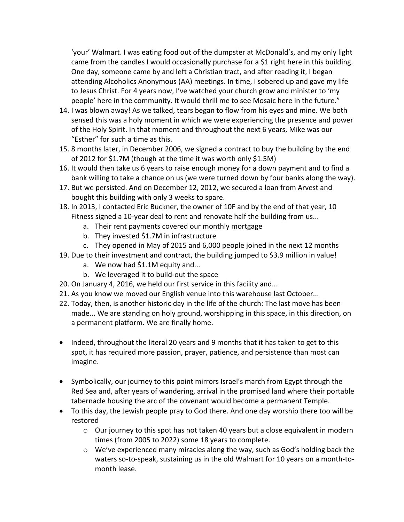'your' Walmart. I was eating food out of the dumpster at McDonald's, and my only light came from the candles I would occasionally purchase for a \$1 right here in this building. One day, someone came by and left a Christian tract, and after reading it, I began attending Alcoholics Anonymous (AA) meetings. In time, I sobered up and gave my life to Jesus Christ. For 4 years now, I've watched your church grow and minister to 'my people' here in the community. It would thrill me to see Mosaic here in the future."

- 14. I was blown away! As we talked, tears began to flow from his eyes and mine. We both sensed this was a holy moment in which we were experiencing the presence and power of the Holy Spirit. In that moment and throughout the next 6 years, Mike was our "Esther" for such a time as this.
- 15. 8 months later, in December 2006, we signed a contract to buy the building by the end of 2012 for \$1.7M (though at the time it was worth only \$1.5M)
- 16. It would then take us 6 years to raise enough money for a down payment and to find a bank willing to take a chance on us (we were turned down by four banks along the way).
- 17. But we persisted. And on December 12, 2012, we secured a loan from Arvest and bought this building with only 3 weeks to spare.
- 18. In 2013, I contacted Eric Buckner, the owner of 10F and by the end of that year, 10 Fitness signed a 10-year deal to rent and renovate half the building from us...
	- a. Their rent payments covered our monthly mortgage
	- b. They invested \$1.7M in infrastructure
	- c. They opened in May of 2015 and 6,000 people joined in the next 12 months
- 19. Due to their investment and contract, the building jumped to \$3.9 million in value!
	- a. We now had \$1.1M equity and...
	- b. We leveraged it to build-out the space
- 20. On January 4, 2016, we held our first service in this facility and...
- 21. As you know we moved our English venue into this warehouse last October...
- 22. Today, then, is another historic day in the life of the church: The last move has been made... We are standing on holy ground, worshipping in this space, in this direction, on a permanent platform. We are finally home.
- Indeed, throughout the literal 20 years and 9 months that it has taken to get to this spot, it has required more passion, prayer, patience, and persistence than most can imagine.
- Symbolically, our journey to this point mirrors Israel's march from Egypt through the Red Sea and, after years of wandering, arrival in the promised land where their portable tabernacle housing the arc of the covenant would become a permanent Temple.
- To this day, the Jewish people pray to God there. And one day worship there too will be restored
	- $\circ$  Our journey to this spot has not taken 40 years but a close equivalent in modern times (from 2005 to 2022) some 18 years to complete.
	- $\circ$  We've experienced many miracles along the way, such as God's holding back the waters so-to-speak, sustaining us in the old Walmart for 10 years on a month-tomonth lease.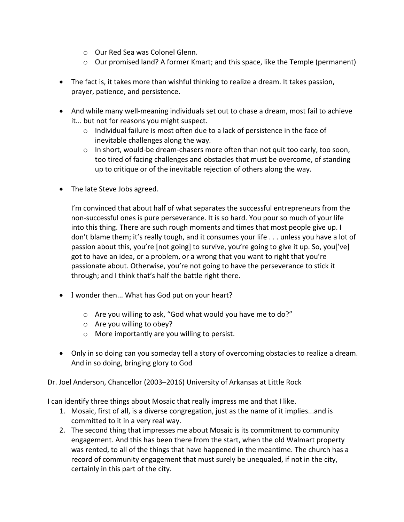- o Our Red Sea was Colonel Glenn.
- $\circ$  Our promised land? A former Kmart; and this space, like the Temple (permanent)
- The fact is, it takes more than wishful thinking to realize a dream. It takes passion, prayer, patience, and persistence.
- And while many well-meaning individuals set out to chase a dream, most fail to achieve it... but not for reasons you might suspect.
	- o Individual failure is most often due to a lack of persistence in the face of inevitable challenges along the way.
	- $\circ$  In short, would-be dream-chasers more often than not quit too early, too soon, too tired of facing challenges and obstacles that must be overcome, of standing up to critique or of the inevitable rejection of others along the way.
- The late Steve Jobs agreed.

I'm convinced that about half of what separates the successful entrepreneurs from the non-successful ones is pure perseverance. It is so hard. You pour so much of your life into this thing. There are such rough moments and times that most people give up. I don't blame them; it's really tough, and it consumes your life . . . unless you have a lot of passion about this, you're [not going] to survive, you're going to give it up. So, you['ve] got to have an idea, or a problem, or a wrong that you want to right that you're passionate about. Otherwise, you're not going to have the perseverance to stick it through; and I think that's half the battle right there.

- I wonder then... What has God put on your heart?
	- o Are you willing to ask, "God what would you have me to do?"
	- o Are you willing to obey?
	- o More importantly are you willing to persist.
- Only in so doing can you someday tell a story of overcoming obstacles to realize a dream. And in so doing, bringing glory to God

Dr. Joel Anderson, Chancellor (2003–2016) University of Arkansas at Little Rock

I can identify three things about Mosaic that really impress me and that I like.

- 1. Mosaic, first of all, is a diverse congregation, just as the name of it implies...and is committed to it in a very real way.
- 2. The second thing that impresses me about Mosaic is its commitment to community engagement. And this has been there from the start, when the old Walmart property was rented, to all of the things that have happened in the meantime. The church has a record of community engagement that must surely be unequaled, if not in the city, certainly in this part of the city.